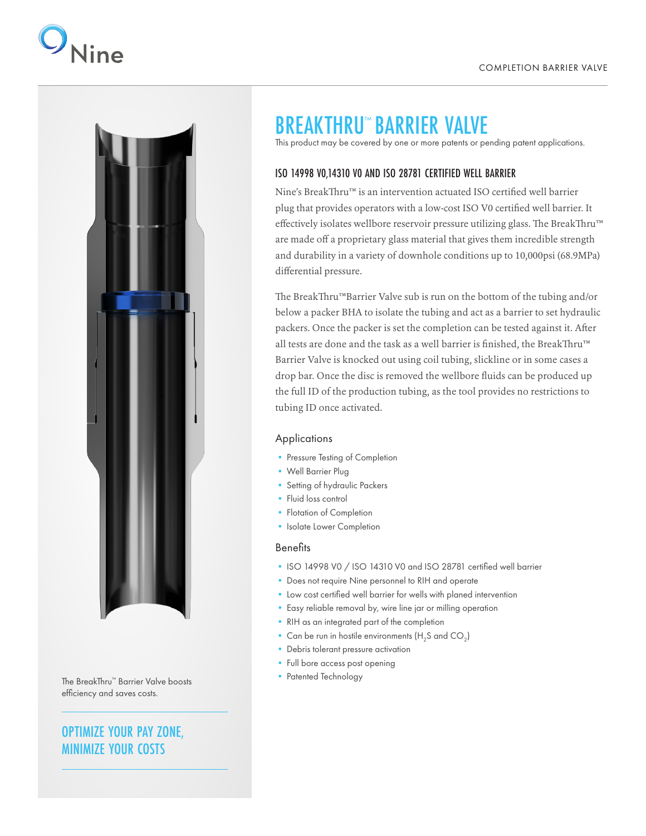



The BreakThru™ Barrier Valve boosts efficiency and saves costs.

### OPTIMIZE YOUR PAY ZONE, MINIMIZE YOUR COSTS

## BREAKTHRU<sup>™</sup> BARRIER VALVE

This product may be covered by one or more patents or pending patent applications.

#### ISO 14998 V0,14310 V0 AND ISO 28781 CERTIFIED WELL BARRIER

Nine's BreakThru™ is an intervention actuated ISO certified well barrier plug that provides operators with a low-cost ISO V0 certified well barrier. It effectively isolates wellbore reservoir pressure utilizing glass. The BreakThru™ are made off a proprietary glass material that gives them incredible strength and durability in a variety of downhole conditions up to 10,000psi (68.9MPa) differential pressure.

The BreakThru™Barrier Valve sub is run on the bottom of the tubing and/or below a packer BHA to isolate the tubing and act as a barrier to set hydraulic packers. Once the packer is set the completion can be tested against it. After all tests are done and the task as a well barrier is finished, the BreakThru™ Barrier Valve is knocked out using coil tubing, slickline or in some cases a drop bar. Once the disc is removed the wellbore fluids can be produced up the full ID of the production tubing, as the tool provides no restrictions to tubing ID once activated.

#### Applications

- Pressure Testing of Completion
- Well Barrier Plug
- Setting of hydraulic Packers
- Fluid loss control
- Flotation of Completion
- Isolate Lower Completion

#### **Benefits**

- ISO 14998 V0 / ISO 14310 V0 and ISO 28781 certified well barrier
- Does not require Nine personnel to RIH and operate
- Low cost certified well barrier for wells with planed intervention
- Easy reliable removal by, wire line jar or milling operation
- RIH as an integrated part of the completion
- Can be run in hostile environments  $(H_2S$  and  $CO_2)$
- Debris tolerant pressure activation
- Full bore access post opening
- Patented Technology